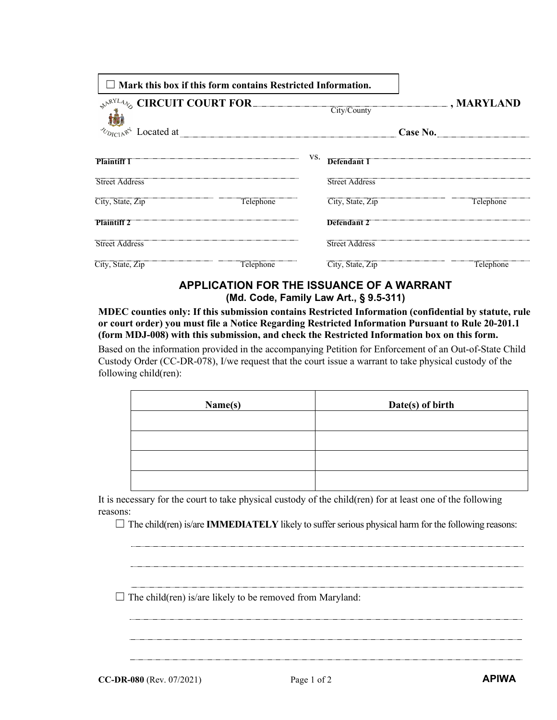| $\Box$ Mark this box if this form contains Restricted Information.                   |     |                       |          |                                   |
|--------------------------------------------------------------------------------------|-----|-----------------------|----------|-----------------------------------|
| $\mathcal{R}^{\mathcal{N}^{RYL}_{\mathcal{A}}}\otimes$ CIRCUIT COURT FOR City/County |     |                       |          | $\boxed{\blacksquare}$ , MARYLAND |
|                                                                                      |     |                       | Case No. |                                   |
| <b>Plaintiff 1</b>                                                                   | VS. | Defendant 1           |          |                                   |
| <b>Street Address</b>                                                                |     | <b>Street Address</b> |          |                                   |
| City, State, Zip<br>Telephone                                                        |     | City, State, Zip      |          | Telephone                         |
| <b>Plaintiff 2</b>                                                                   |     | Defendant 2           |          |                                   |
| <b>Street Address</b>                                                                |     | <b>Street Address</b> |          |                                   |
| City, State, Zip<br>Telephone                                                        |     | City, State, Zip      |          | Telephone                         |

## **APPLICATION FOR THE ISSUANCE OF A WARRANT (Md. Code, Family Law Art., § 9.5-311)**

**MDEC counties only: If this submission contains Restricted Information (confidential by statute, rule or court order) you must file a Notice Regarding Restricted Information Pursuant to Rule 20-201.1 (form MDJ-008) with this submission, and check the Restricted Information box on this form.**

Based on the information provided in the accompanying Petition for Enforcement of an Out-of-State Child Custody Order (CC-DR-078), I/we request that the court issue a warrant to take physical custody of the following child(ren):

| Name(s) | Date(s) of birth |
|---------|------------------|
|         |                  |
|         |                  |
|         |                  |
|         |                  |

It is necessary for the court to take physical custody of the child(ren) for at least one of the following reasons:

 $\Box$  The child(ren) is/are **IMMEDIATELY** likely to suffer serious physical harm for the following reasons:

 $\Box$  The child(ren) is/are likely to be removed from Maryland: